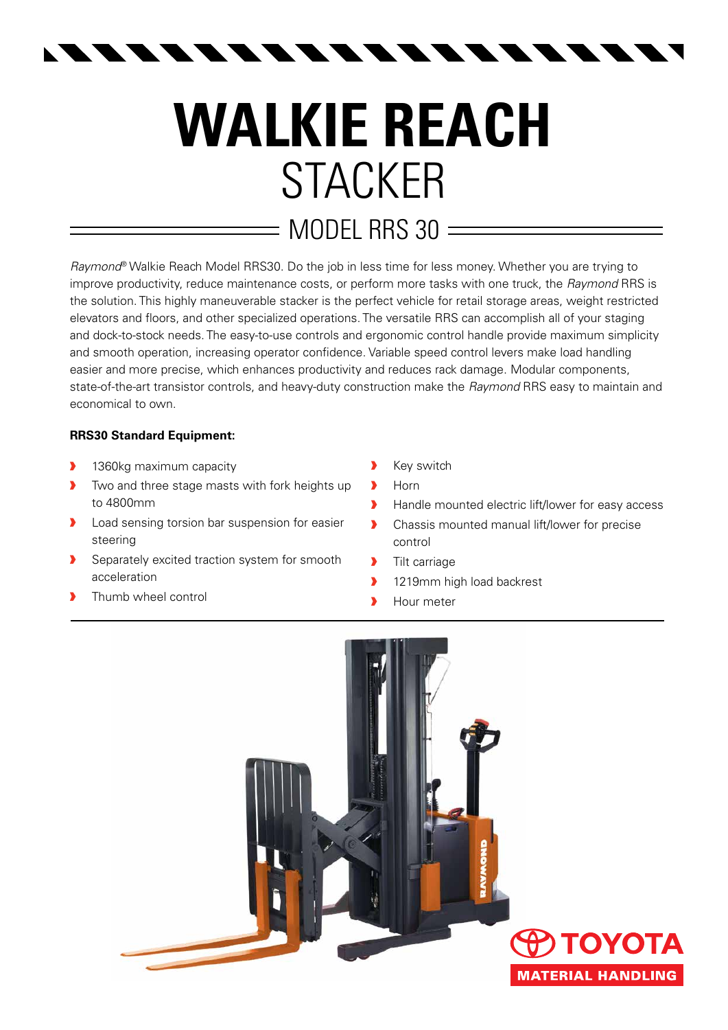$\begin{array}{c} \begin{array}{c} \textbf{A} & \textbf{A} & \textbf{A} & \textbf{A} \end{array} \end{array}$  $\begin{array}{c} \begin{array}{c} \textbf{A} & \textbf{A} & \textbf{A} & \textbf{A} \end{array} \end{array}$ 

## **Walkie REACH** STACKER  $=$  MODEL RRS 30  $=$

*Raymond*® Walkie Reach Model RRS30. Do the job in less time for less money. Whether you are trying to improve productivity, reduce maintenance costs, or perform more tasks with one truck, the *Raymond* RRS is the solution. This highly maneuverable stacker is the perfect vehicle for retail storage areas, weight restricted elevators and floors, and other specialized operations. The versatile RRS can accomplish all of your staging and dock-to-stock needs. The easy-to-use controls and ergonomic control handle provide maximum simplicity and smooth operation, increasing operator confidence. Variable speed control levers make load handling easier and more precise, which enhances productivity and reduces rack damage. Modular components, state-of-the-art transistor controls, and heavy-duty construction make the *Raymond* RRS easy to maintain and economical to own.

## **RRS30 Standard Equipment:**

- **1360kg maximum capacity**
- **•** Two and three stage masts with fork heights up to 4800mm
- **D** Load sensing torsion bar suspension for easier steering
- Separately excited traction system for smooth acceleration
- Thumb wheel control
- **X** Key switch
- › Horn
- › Handle mounted electric lift/lower for easy access
- **•** Chassis mounted manual lift/lower for precise control
- **>** Tilt carriage
- 1219mm high load backrest
- **I** Hour meter